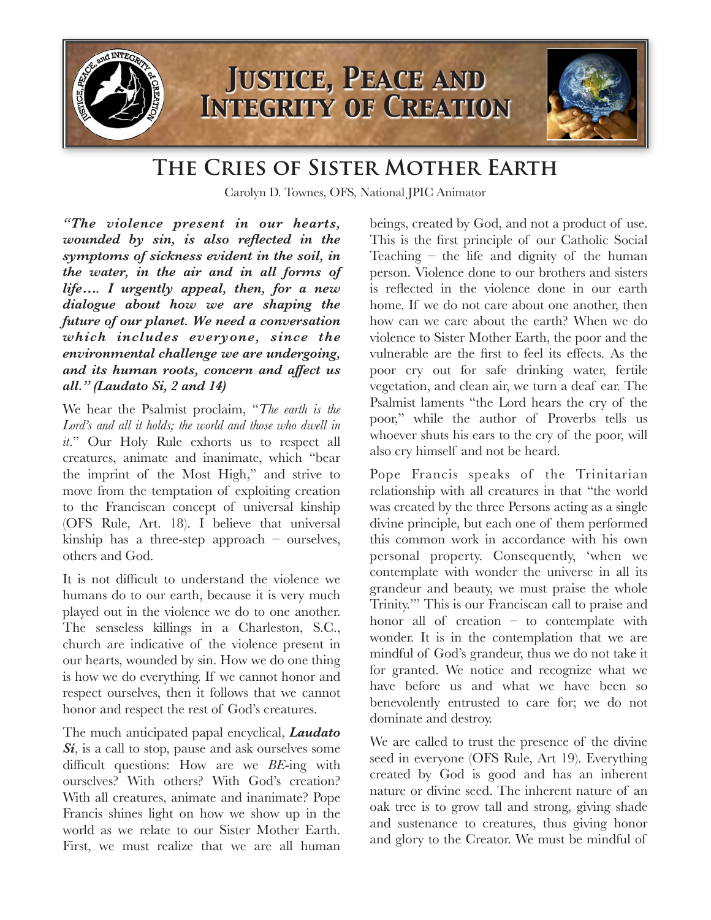

## **The Cries of Sister Mother Earth**

Carolyn D. Townes, OFS, National JPIC Animator

*"The violence present in our hearts, wounded by sin, is also reflected in the symptoms of sickness evident in the soil, in the water, in the air and in all forms of life…. I urgently appeal, then, for a new dialogue about how we are shaping the future of our planet. We need a conversation which includes everyone, since the environmental challenge we are undergoing, and its human roots, concern and affect us all." (Laudato Si, 2 and 14)* 

We hear the Psalmist proclaim, "*The earth is the Lord's and all it holds; the world and those who dwell in it*." Our Holy Rule exhorts us to respect all creatures, animate and inanimate, which "bear the imprint of the Most High," and strive to move from the temptation of exploiting creation to the Franciscan concept of universal kinship (OFS Rule, Art. 18). I believe that universal kinship has a three-step approach – ourselves, others and God.

It is not difficult to understand the violence we humans do to our earth, because it is very much played out in the violence we do to one another. The senseless killings in a Charleston, S.C., church are indicative of the violence present in our hearts, wounded by sin. How we do one thing is how we do everything. If we cannot honor and respect ourselves, then it follows that we cannot honor and respect the rest of God's creatures.

The much anticipated papal encyclical, *Laudato Sí*, is a call to stop, pause and ask ourselves some difficult questions: How are we *BE*-ing with ourselves? With others? With God's creation? With all creatures, animate and inanimate? Pope Francis shines light on how we show up in the world as we relate to our Sister Mother Earth. First, we must realize that we are all human beings, created by God, and not a product of use. This is the first principle of our Catholic Social Teaching – the life and dignity of the human person. Violence done to our brothers and sisters is reflected in the violence done in our earth home. If we do not care about one another, then how can we care about the earth? When we do violence to Sister Mother Earth, the poor and the vulnerable are the first to feel its effects. As the poor cry out for safe drinking water, fertile vegetation, and clean air, we turn a deaf ear. The Psalmist laments "the Lord hears the cry of the poor," while the author of Proverbs tells us whoever shuts his ears to the cry of the poor, will also cry himself and not be heard.

Pope Francis speaks of the Trinitarian relationship with all creatures in that "the world was created by the three Persons acting as a single divine principle, but each one of them performed this common work in accordance with his own personal property. Consequently, 'when we contemplate with wonder the universe in all its grandeur and beauty, we must praise the whole Trinity.'" This is our Franciscan call to praise and honor all of creation – to contemplate with wonder. It is in the contemplation that we are mindful of God's grandeur, thus we do not take it for granted. We notice and recognize what we have before us and what we have been so benevolently entrusted to care for; we do not dominate and destroy.

We are called to trust the presence of the divine seed in everyone (OFS Rule, Art 19). Everything created by God is good and has an inherent nature or divine seed. The inherent nature of an oak tree is to grow tall and strong, giving shade and sustenance to creatures, thus giving honor and glory to the Creator. We must be mindful of